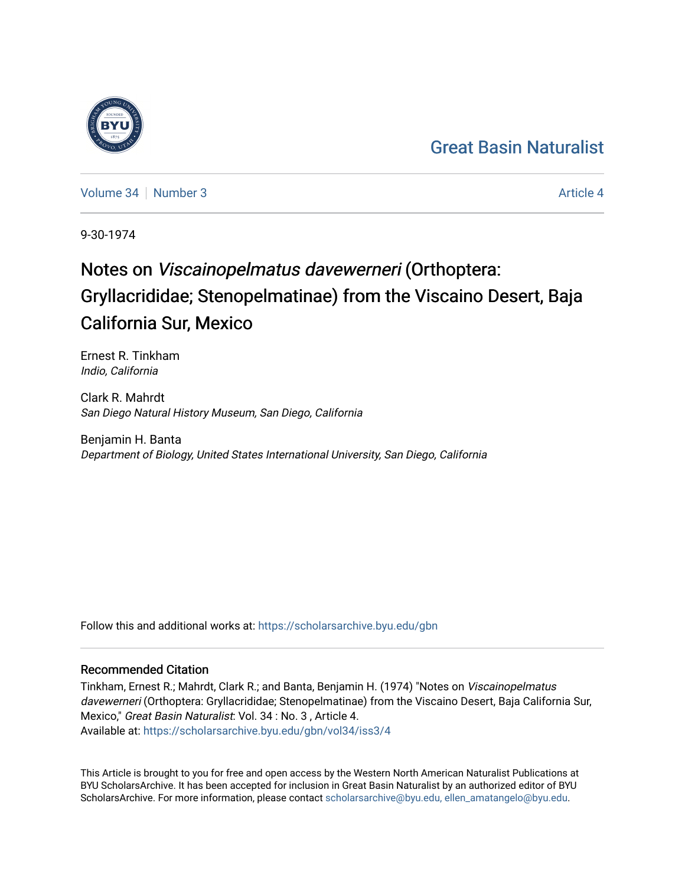## [Great Basin Naturalist](https://scholarsarchive.byu.edu/gbn)

[Volume 34](https://scholarsarchive.byu.edu/gbn/vol34) | [Number 3](https://scholarsarchive.byu.edu/gbn/vol34/iss3) Article 4

9-30-1974

# Notes on Viscainopelmatus davewerneri (Orthoptera: Gryllacrididae; Stenopelmatinae) from the Viscaino Desert, Baja California Sur, Mexico

Ernest R. Tinkham Indio, California

Clark R. Mahrdt San Diego Natural History Museum, San Diego, California

Benjamin H. Banta Department of Biology, United States International University, San Diego, California

Follow this and additional works at: [https://scholarsarchive.byu.edu/gbn](https://scholarsarchive.byu.edu/gbn?utm_source=scholarsarchive.byu.edu%2Fgbn%2Fvol34%2Fiss3%2F4&utm_medium=PDF&utm_campaign=PDFCoverPages) 

### Recommended Citation

Tinkham, Ernest R.; Mahrdt, Clark R.; and Banta, Benjamin H. (1974) "Notes on Viscainopelmatus davewerneri (Orthoptera: Gryllacrididae; Stenopelmatinae) from the Viscaino Desert, Baja California Sur, Mexico," Great Basin Naturalist: Vol. 34 : No. 3 , Article 4. Available at: [https://scholarsarchive.byu.edu/gbn/vol34/iss3/4](https://scholarsarchive.byu.edu/gbn/vol34/iss3/4?utm_source=scholarsarchive.byu.edu%2Fgbn%2Fvol34%2Fiss3%2F4&utm_medium=PDF&utm_campaign=PDFCoverPages)

This Article is brought to you for free and open access by the Western North American Naturalist Publications at BYU ScholarsArchive. It has been accepted for inclusion in Great Basin Naturalist by an authorized editor of BYU ScholarsArchive. For more information, please contact [scholarsarchive@byu.edu, ellen\\_amatangelo@byu.edu.](mailto:scholarsarchive@byu.edu,%20ellen_amatangelo@byu.edu)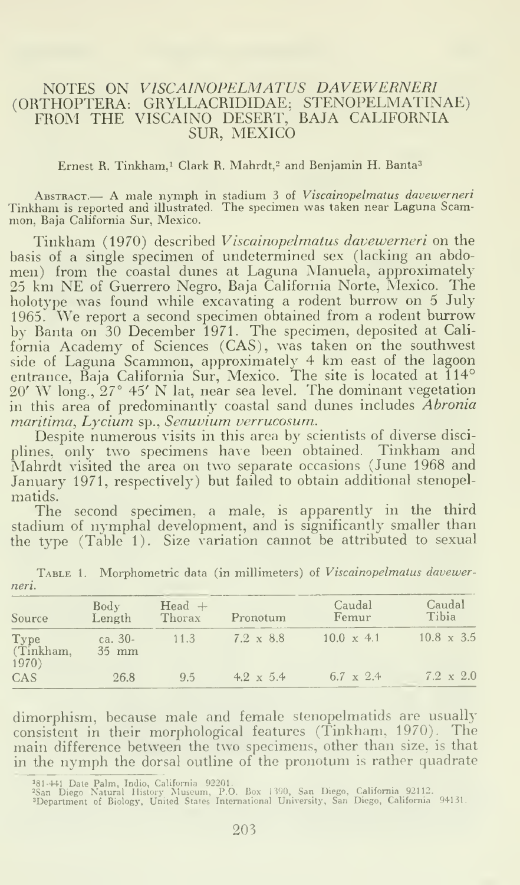#### NOTES ON VISCAINOPELMATUS DAVEWERNERI (ORTHOPTERA: GRYLLACRIDIDAE; STENOPELMATINAE) FROM THE VISCAINO DESERT, BAJA CALIFORNIA SUR, MEXICO

#### Ernest R. Tinkham,<sup>1</sup> Clark R. Mahrdt,<sup>2</sup> and Benjamin H. Banta<sup>3</sup>

ABSTRACT.— A male nymph in stadium 3 of *Viscainopelmatus davewerneri*<br>Tinkham is reported and illustrated. The specimen was taken near Laguna Scammon, Baja California Sur, Mexico.

Tinkham (1970) described Viscainopelmatus davewerneri on the basis of a single specimen of undetermined sex (lacking an abdomen) from the coastal dunes at Laguna Manuela, approximately <sup>25</sup> km NE of Guerrero Negro, Baja California Norte, Mexico. The holotype was found while excavating a rodent burrow on <sup>5</sup> July 1965. We report <sup>a</sup> second specimen obtained from <sup>a</sup> rodent burrow by Banta on 30 December 1971. The specimen, deposited at California Academy of Sciences (CAS), was taken on the southwest side of Laguna Scammon, approximately <sup>4</sup> km east of the lagoon entrance, Baja California Sur, Mexico. The site is located at 114° 20' W long., 27° 45' N lat, near sea level. The dominant vegetation in this area of predominantly coastal sand dunes includes Abronia maritima, Lycium sp., Seauvium verrucosum.

Despite numerous visits in this area by scientists of diverse disci plines, only two specimens have been obtained. Tinkham and Mahrdt visited the area on two separate occasions (June 1968 and January 1971, respectively) but failed to obtain additional stenopelmatids.

The second specimen, a male, is apparently in the third stadium of nymphal development, and is significantly smaller than the type (Table 1). Size variation cannot be attributed to sexual

| Source                     | Body<br>Length     | $Head +$<br>Thorax | Pronotum         | Caudal<br>Femur   | Caudal<br>Tibia   |
|----------------------------|--------------------|--------------------|------------------|-------------------|-------------------|
| Type<br>(Tinkham,<br>1970) | ca. $30-$<br>35 mm | 11.3               | $7.2 \times 8.8$ | $10.0 \times 4.1$ | $10.8 \times 3.5$ |
| CAS                        | 26.8               | 9.5                | $4.2 \times 5.4$ | 6.7 $\times$ 2.4  | $7.2 \times 2.0$  |

TABLE 1. Morphometric data (in millimeters) of Viscainopelmatus davewerneri.

dimorphism, because male and female stenopelmatids are usually consistent in their morphological features (Tinkham, 1970). The main difference between the two specimens, other than size, is that in the nymph the dorsal outline of the pronotum is rather quadrate

181-441 Date Palm, Indio, California 92201.<br><sup>2</sup>San Diego Natural History Museum, P.O. Box 1390, San Diego, California 92112.<br><sup>3</sup>Department of Biology, United States International University, San Diego, California 94131.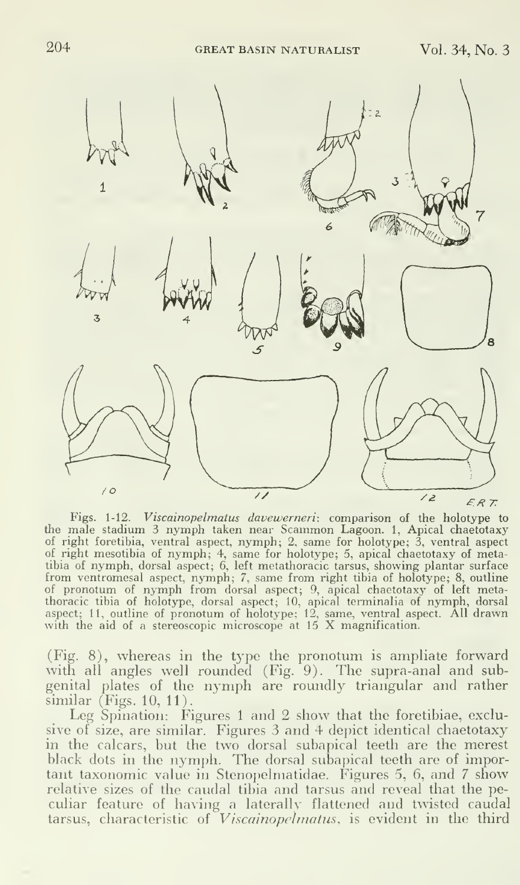

Figs. 1-12. Viscainopelmatus davewerneri: comparison of the holotype to the male stadium <sup>3</sup> nymph taken near Scammon Lagoon. 1, Apical chaetotaxy of right foretibia, ventral aspect, nymph; 2, same for holotype; 3, ventral aspect<br>of right mesotibia of nymph; 4, same for holotype; 5, apical chaetotaxy of meta-<br>tibia of nymph, dorsal aspect; 6, left metathoracic tarsus from ventromesal aspect, nymph; 7, same from right tibia of holotype; 8, outline<br>of pronotum of nymph from dorsal aspect; 9, apical chaetotaxy of left meta-<br>thoracic tibia of holotype, dorsal aspect; 10, apical terminalia

(Fig. 8), whereas in the type the pronotum is ampliate forward with all angles well rounded (Fig. 9). The supra-anal and subgenital plates of the nymph are roundly triangular and rather similar (Figs. 10, 11).

Leg Spination: Figures 1 and 2 show that the foretibiae, exclusive of size, are similar. Figures 3 and 4 depict identical chaetotaxy in the calcars, but the two dorsal subapical teeth are the merest black dots in the nymph. The dorsal subapical teeth are of important taxonomic value in Stenopelmatidae. Figures 5, 6, and 7 show relative sizes of the caudal tibia and tarsus and reveal that the peculiar feature of having a laterally flattened and twisted caudal tarsus, characteristic of *Viscainopelmatus*, is evident in the third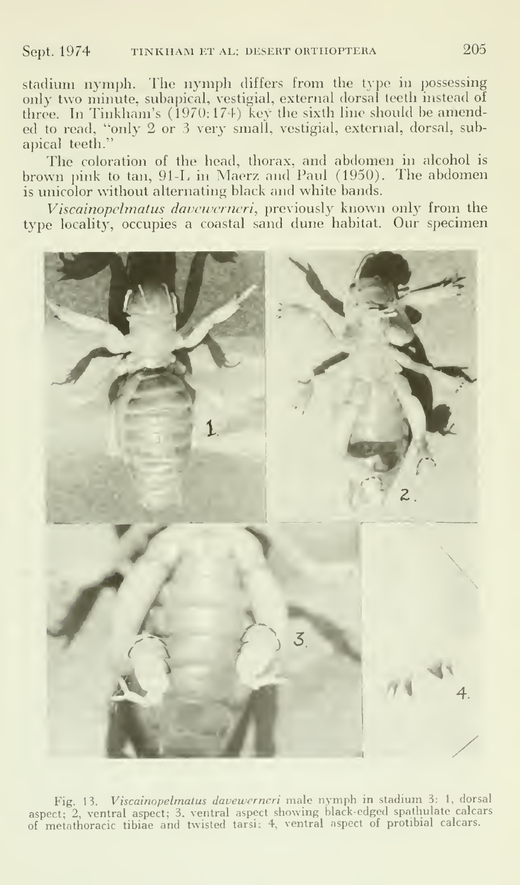stadium nymph. The nymph differs from the type in possessing only two minute, subapical, vestigial, external dorsal teeth instead of three. In Tinkham's (1970:174) key the sixth line should be amended to read, "only 2 or 3 very small, vestigial, external, dorsal, subapical teeth."

The coloration of the head, thorax, and abdomen in alcohol is brown pink to tan, 91-L in Maerz and Paul (1950). The abdomen is unicolor without alternating black and white bands.

Viscainopelmatus davewerneri, previously known only from the type locality, occupies <sup>a</sup> coastal sand dune habitat. Our specimen



Fig. 13. Viscainopelmatus davewerneri male nymph in stadium 3: 1, dorsal aspect; 2, ventral aspect; 3, ventral aspect showing black-edged spathulate calcars of metathoracic tibiae and twisted tarsi; 4, ventral aspect of protibial calcars.